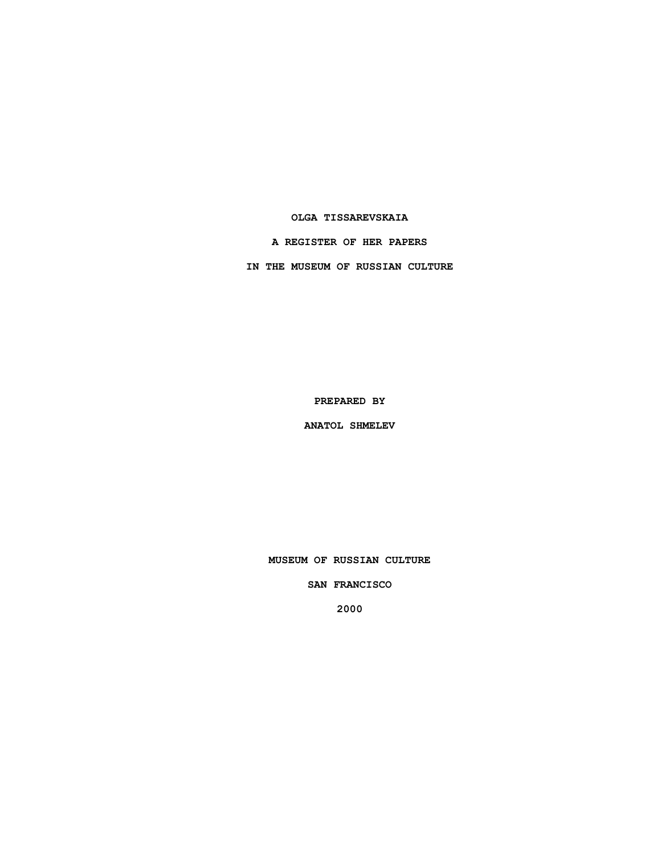## **OLGA TISSAREVSKAIA**

**A REGISTER OF HER PAPERS**

**IN THE MUSEUM OF RUSSIAN CULTURE**

**PREPARED BY**

**ANATOL SHMELEV**

**MUSEUM OF RUSSIAN CULTURE**

**SAN FRANCISCO**

**2000**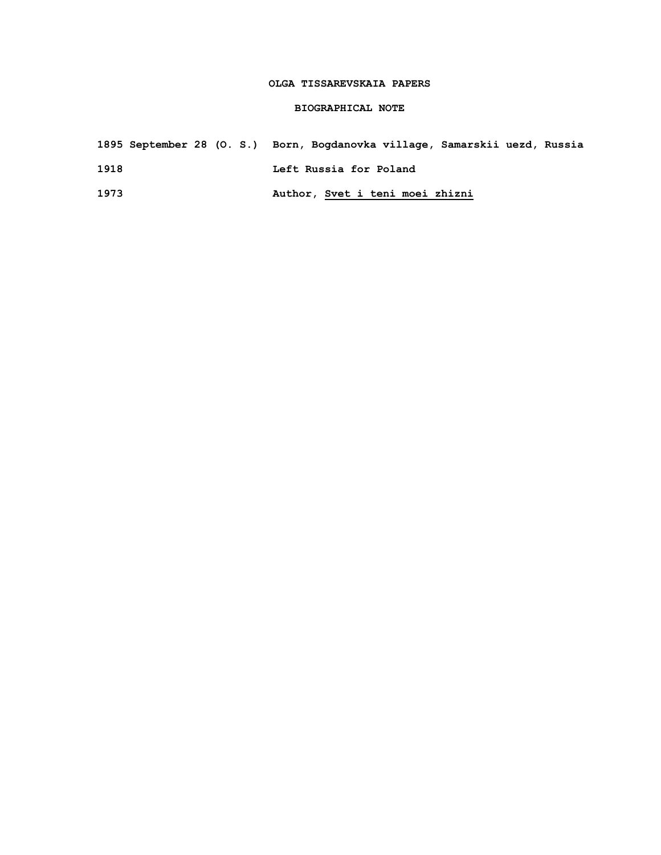## **OLGA TISSAREVSKAIA PAPERS**

## **BIOGRAPHICAL NOTE**

# **1895 September 28 (O. S.) Born, Bogdanovka village, Samarskii uezd, Russia 1918 Left Russia for Poland**

**1973 Author, Svet i teni moei zhizni**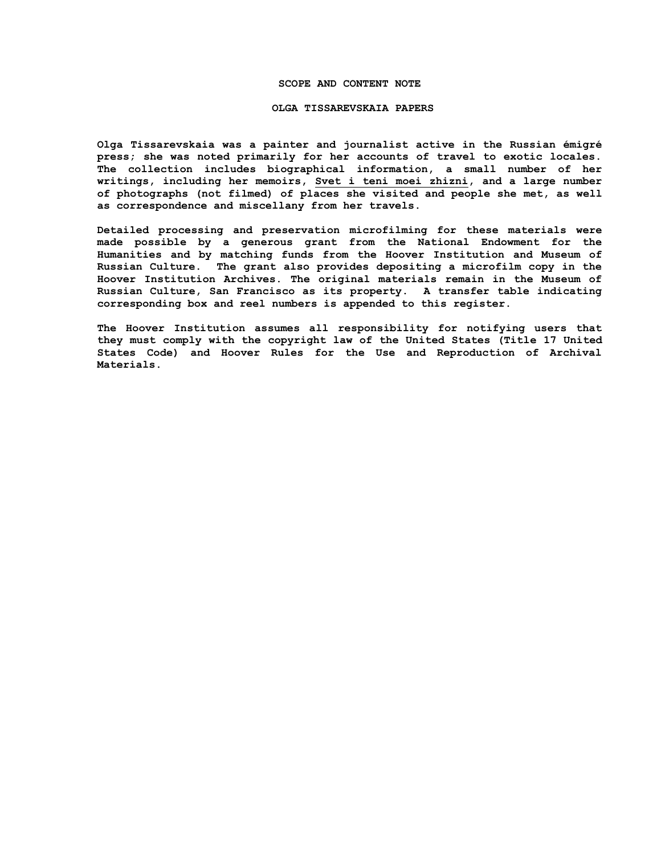#### **SCOPE AND CONTENT NOTE**

#### **OLGA TISSAREVSKAIA PAPERS**

**Olga Tissarevskaia was a painter and journalist active in the Russian émigré press; she was noted primarily for her accounts of travel to exotic locales. The collection includes biographical information, a small number of her writings, including her memoirs, Svet i teni moei zhizni, and a large number of photographs (not filmed) of places she visited and people she met, as well as correspondence and miscellany from her travels.**

**Detailed processing and preservation microfilming for these materials were made possible by a generous grant from the National Endowment for the Humanities and by matching funds from the Hoover Institution and Museum of Russian Culture. The grant also provides depositing a microfilm copy in the Hoover Institution Archives. The original materials remain in the Museum of Russian Culture, San Francisco as its property. A transfer table indicating corresponding box and reel numbers is appended to this register.**

**The Hoover Institution assumes all responsibility for notifying users that they must comply with the copyright law of the United States (Title 17 United States Code) and Hoover Rules for the Use and Reproduction of Archival Materials.**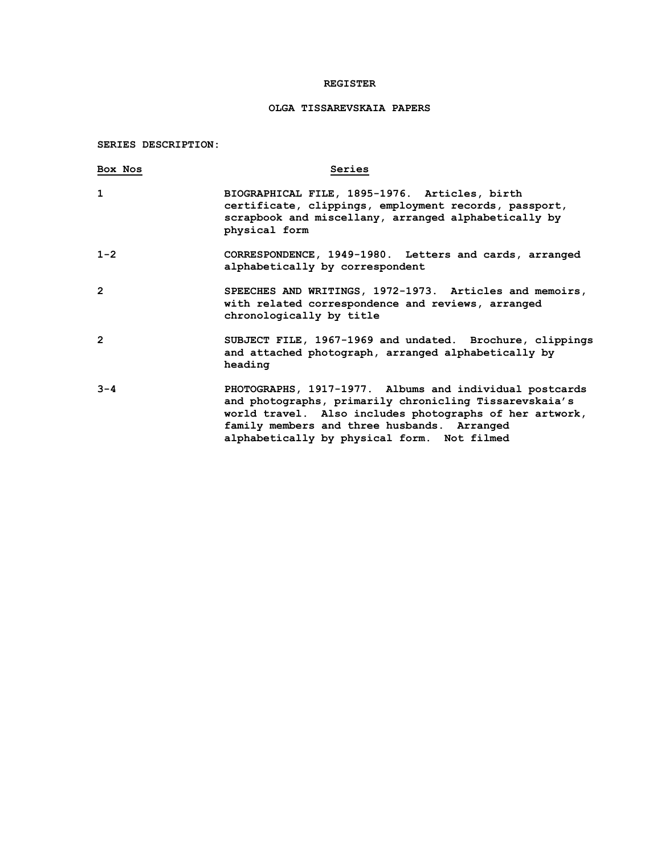## **REGISTER**

## **OLGA TISSAREVSKAIA PAPERS**

**SERIES DESCRIPTION:**

| Box Nos        | Series                                                                                                                                                                                                                                                                     |
|----------------|----------------------------------------------------------------------------------------------------------------------------------------------------------------------------------------------------------------------------------------------------------------------------|
| $\mathbf{1}$   | BIOGRAPHICAL FILE, 1895-1976. Articles, birth<br>certificate, clippings, employment records, passport,<br>scrapbook and miscellany, arranged alphabetically by<br>physical form                                                                                            |
| $1 - 2$        | CORRESPONDENCE, 1949-1980. Letters and cards, arranged<br>alphabetically by correspondent                                                                                                                                                                                  |
| 2              | SPEECHES AND WRITINGS, 1972-1973. Articles and memoirs,<br>with related correspondence and reviews, arranged<br>chronologically by title                                                                                                                                   |
| $\overline{2}$ | SUBJECT FILE, 1967-1969 and undated. Brochure, clippings<br>and attached photograph, arranged alphabetically by<br>heading                                                                                                                                                 |
| $3 - 4$        | PHOTOGRAPHS, 1917-1977. Albums and individual postcards<br>and photographs, primarily chronicling Tissarevskaia's<br>world travel. Also includes photographs of her artwork,<br>family members and three husbands. Arranged<br>alphabetically by physical form. Not filmed |